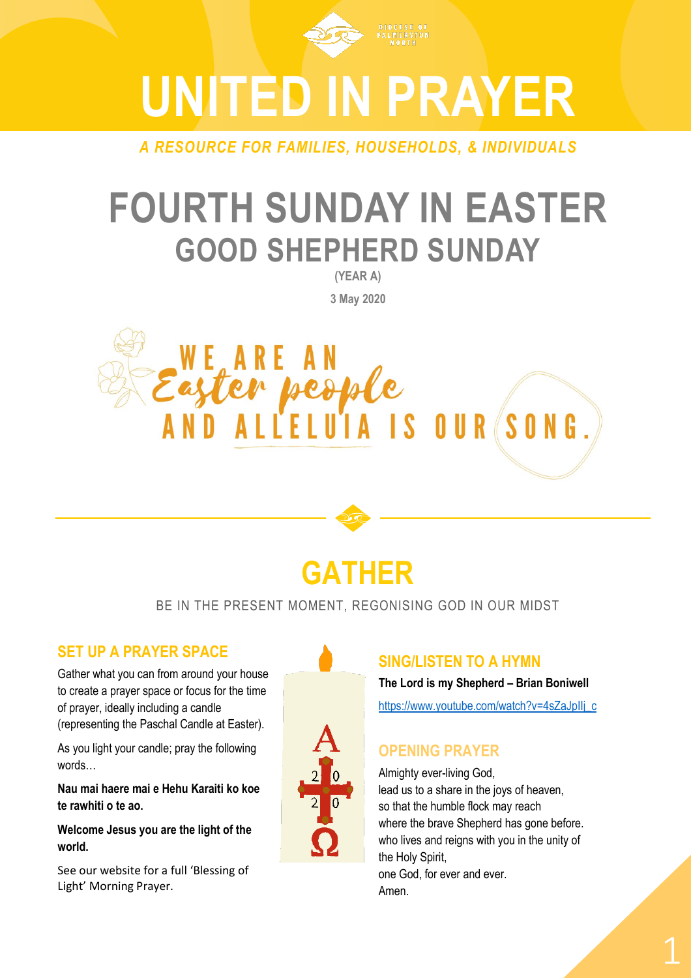

*A RESOURCE FOR FAMILIES, HOUSEHOLDS, & INDIVIDUALS*

# **FOURTH SUNDAY IN EASTER GOOD SHEPHERD SUNDAY**

**(YEAR A) 3 May 2020**





## **GATHER**

## BE IN THE PRESENT MOMENT, REGONISING GOD IN OUR MIDST

## **SET UP A PRAYER SPACE**

Gather what you can from around your house to create a prayer space or focus for the time of prayer, ideally including a candle (representing the Paschal Candle at Easter).

As you light your candle; pray the following words…

**Nau mai haere mai e Hehu Karaiti ko koe te rawhiti o te ao.** 

**Welcome Jesus you are the light of the world.**

See our website for a full 'Blessing of Light' Morning Prayer.



## **SING/LISTEN TO A HYMN**

**The Lord is my Shepherd – Brian Boniwell**

[https://www.youtube.com/watch?v=4sZaJpIIj\\_c](https://www.youtube.com/watch?v=4sZaJpIIj_c)

## **OPENING PRAYER**

Almighty ever-living God, lead us to a share in the joys of heaven, so that the humble flock may reach where the brave Shepherd has gone before. who lives and reigns with you in the unity of the Holy Spirit, one God, for ever and ever. Amen.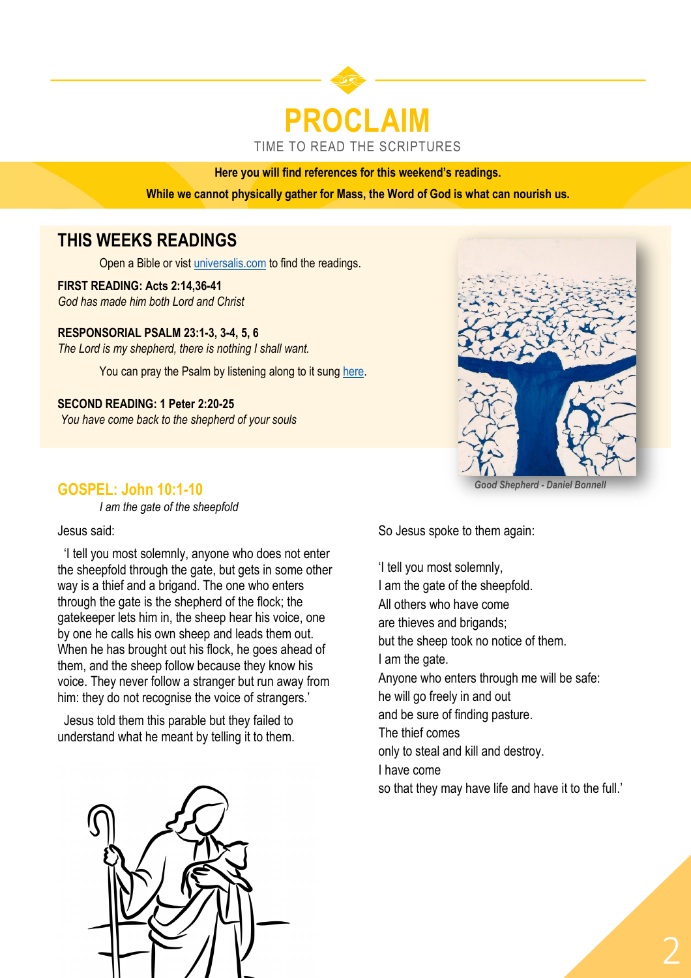## **PROCLAIM** TIME TO READ THE SCRIPTURES

#### **Here you will find references for this weekend's readings.**

**While we cannot physically gather for Mass, the Word of God is what can nourish us.** 

## **THIS WEEKS READINGS**

Open a Bible or vist [universalis.com](https://universalis.com/mass.htm) to find the readings.

**FIRST READING: Acts 2:14,36-41** *God has made him both Lord and Christ*

**RESPONSORIAL PSALM 23:1-3, 3-4, 5, 6** *The Lord is my shepherd, there is nothing I shall want.*

You can pray the Psalm by listening along to it sung [here.](https://www.youtube.com/watch?v=ALSsKDo8eKY)

**SECOND READING: 1 Peter 2:20-25** *You have come back to the shepherd of your souls*



#### *Good Shepherd - Daniel Bonnell*

*I am the gate of the sheepfold*

**GOSPEL: John 10:1-10**

Jesus said:

 'I tell you most solemnly, anyone who does not enter the sheepfold through the gate, but gets in some other way is a thief and a brigand. The one who enters through the gate is the shepherd of the flock; the gatekeeper lets him in, the sheep hear his voice, one by one he calls his own sheep and leads them out. When he has brought out his flock, he goes ahead of them, and the sheep follow because they know his voice. They never follow a stranger but run away from him: they do not recognise the voice of strangers.'

 Jesus told them this parable but they failed to understand what he meant by telling it to them. So Jesus spoke to them again:

'I tell you most solemnly, I am the gate of the sheepfold. All others who have come are thieves and brigands; but the sheep took no notice of them. I am the gate. Anyone who enters through me will be safe: he will go freely in and out and be sure of finding pasture. The thief comes only to steal and kill and destroy. I have come so that they may have life and have it to the full.'

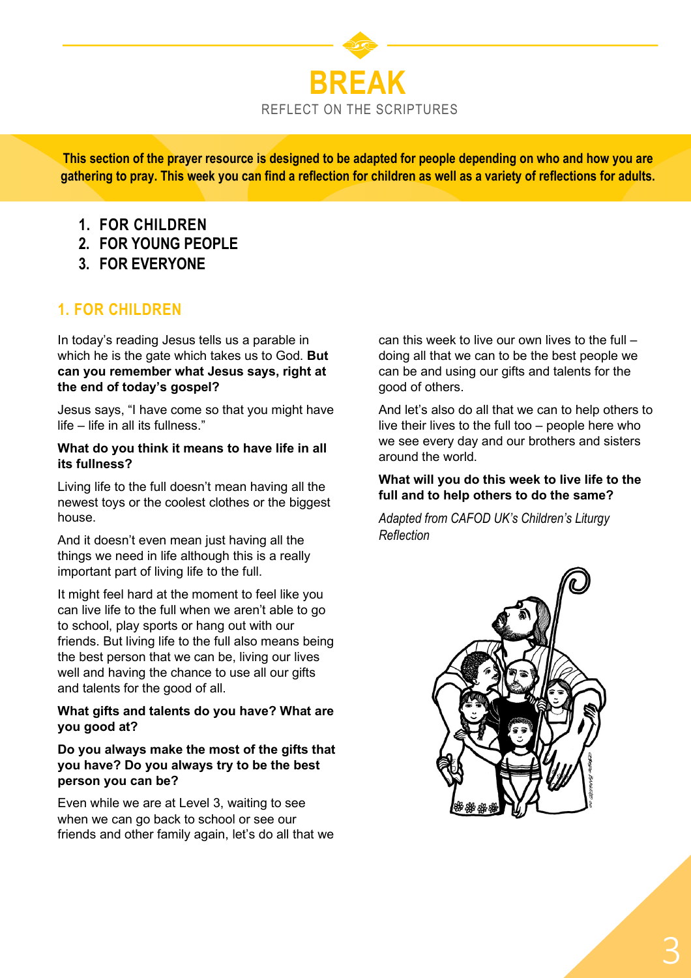

**This section of the prayer resource is designed to be adapted for people depending on who and how you are gathering to pray. This week you can find a reflection for children as well as a variety of reflections for adults.**

- **1. FOR CHILDREN**
- **2. FOR YOUNG PEOPLE**
- **3. FOR EVERYONE**

## **1. FOR CHILDREN**

In today's reading Jesus tells us a parable in which he is the gate which takes us to God. **But can you remember what Jesus says, right at the end of today's gospel?**

Jesus says, "I have come so that you might have life – life in all its fullness."

#### **What do you think it means to have life in all its fullness?**

Living life to the full doesn't mean having all the newest toys or the coolest clothes or the biggest house.

And it doesn't even mean just having all the things we need in life although this is a really important part of living life to the full.

It might feel hard at the moment to feel like you can live life to the full when we aren't able to go to school, play sports or hang out with our friends. But living life to the full also means being the best person that we can be, living our lives well and having the chance to use all our gifts and talents for the good of all.

## **What gifts and talents do you have? What are you good at?**

## **Do you always make the most of the gifts that you have? Do you always try to be the best person you can be?**

Even while we are at Level 3, waiting to see when we can go back to school or see our friends and other family again, let's do all that we can this week to live our own lives to the full – doing all that we can to be the best people we can be and using our gifts and talents for the good of others.

And let's also do all that we can to help others to live their lives to the full too – people here who we see every day and our brothers and sisters around the world.

## **What will you do this week to live life to the full and to help others to do the same?**

*Adapted from CAFOD UK's Children's Liturgy Reflection*

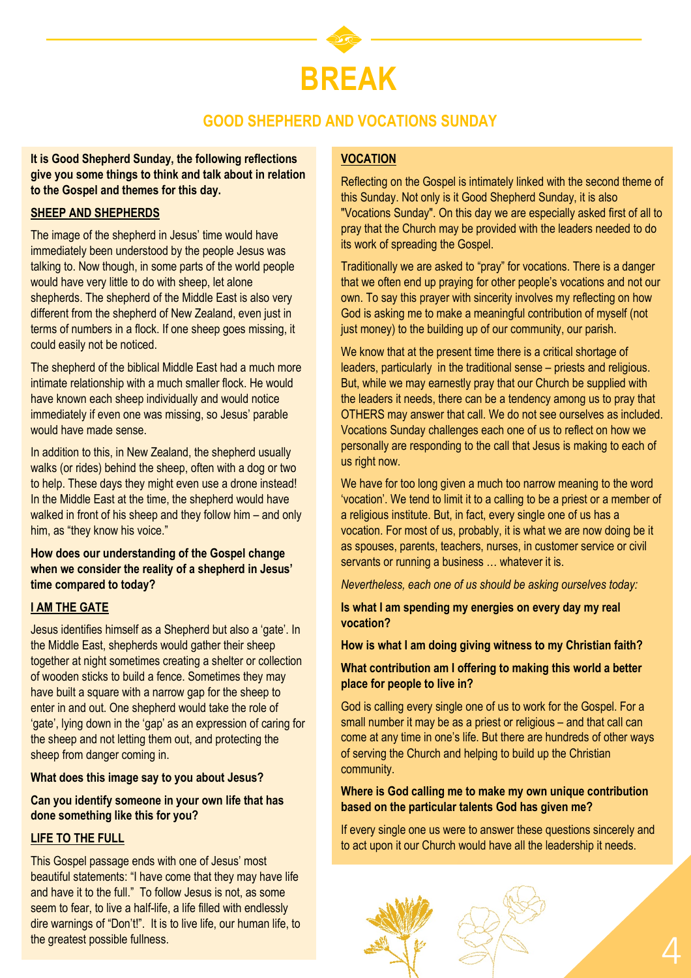

## **GOOD SHEPHERD AND VOCATIONS SUNDAY**

**It is Good Shepherd Sunday, the following reflections give you some things to think and talk about in relation to the Gospel and themes for this day.** 

#### **SHEEP AND SHEPHERDS**

The image of the shepherd in Jesus' time would have immediately been understood by the people Jesus was talking to. Now though, in some parts of the world people would have very little to do with sheep, let alone shepherds. The shepherd of the Middle East is also very different from the shepherd of New Zealand, even just in terms of numbers in a flock. If one sheep goes missing, it could easily not be noticed.

The shepherd of the biblical Middle East had a much more intimate relationship with a much smaller flock. He would have known each sheep individually and would notice immediately if even one was missing, so Jesus' parable would have made sense.

In addition to this, in New Zealand, the shepherd usually walks (or rides) behind the sheep, often with a dog or two to help. These days they might even use a drone instead! In the Middle East at the time, the shepherd would have walked in front of his sheep and they follow him – and only him, as "they know his voice."

#### **How does our understanding of the Gospel change when we consider the reality of a shepherd in Jesus' time compared to today?**

#### **I AM THE GATE**

Jesus identifies himself as a Shepherd but also a 'gate'. In the Middle East, shepherds would gather their sheep together at night sometimes creating a shelter or collection of wooden sticks to build a fence. Sometimes they may have built a square with a narrow gap for the sheep to enter in and out. One shepherd would take the role of 'gate', lying down in the 'gap' as an expression of caring for the sheep and not letting them out, and protecting the sheep from danger coming in.

#### **What does this image say to you about Jesus?**

## **Can you identify someone in your own life that has done something like this for you?**

#### **LIFE TO THE FULL**

This Gospel passage ends with one of Jesus' most beautiful statements: "I have come that they may have life and have it to the full." To follow Jesus is not, as some seem to fear, to live a half-life, a life filled with endlessly dire warnings of "Don't!". It is to live life, our human life, to the greatest possible fullness.

## **VOCATION**

Reflecting on the Gospel is intimately linked with the second theme of this Sunday. Not only is it Good Shepherd Sunday, it is also "Vocations Sunday". On this day we are especially asked first of all to pray that the Church may be provided with the leaders needed to do its work of spreading the Gospel.

Traditionally we are asked to "pray" for vocations. There is a danger that we often end up praying for other people's vocations and not our own. To say this prayer with sincerity involves my reflecting on how God is asking me to make a meaningful contribution of myself (not just money) to the building up of our community, our parish.

We know that at the present time there is a critical shortage of leaders, particularly in the traditional sense – priests and religious. But, while we may earnestly pray that our Church be supplied with the leaders it needs, there can be a tendency among us to pray that OTHERS may answer that call. We do not see ourselves as included. Vocations Sunday challenges each one of us to reflect on how we personally are responding to the call that Jesus is making to each of us right now.

We have for too long given a much too narrow meaning to the word 'vocation'. We tend to limit it to a calling to be a priest or a member of a religious institute. But, in fact, every single one of us has a vocation. For most of us, probably, it is what we are now doing be it as spouses, parents, teachers, nurses, in customer service or civil servants or running a business ... whatever it is.

*Nevertheless, each one of us should be asking ourselves today:*

**Is what I am spending my energies on every day my real vocation?**

**How is what I am doing giving witness to my Christian faith?**

#### **What contribution am I offering to making this world a better place for people to live in?**

God is calling every single one of us to work for the Gospel. For a small number it may be as a priest or religious – and that call can come at any time in one's life. But there are hundreds of other ways of serving the Church and helping to build up the Christian community.

## **Where is God calling me to make my own unique contribution based on the particular talents God has given me?**

If every single one us were to answer these questions sincerely and to act upon it our Church would have all the leadership it needs.